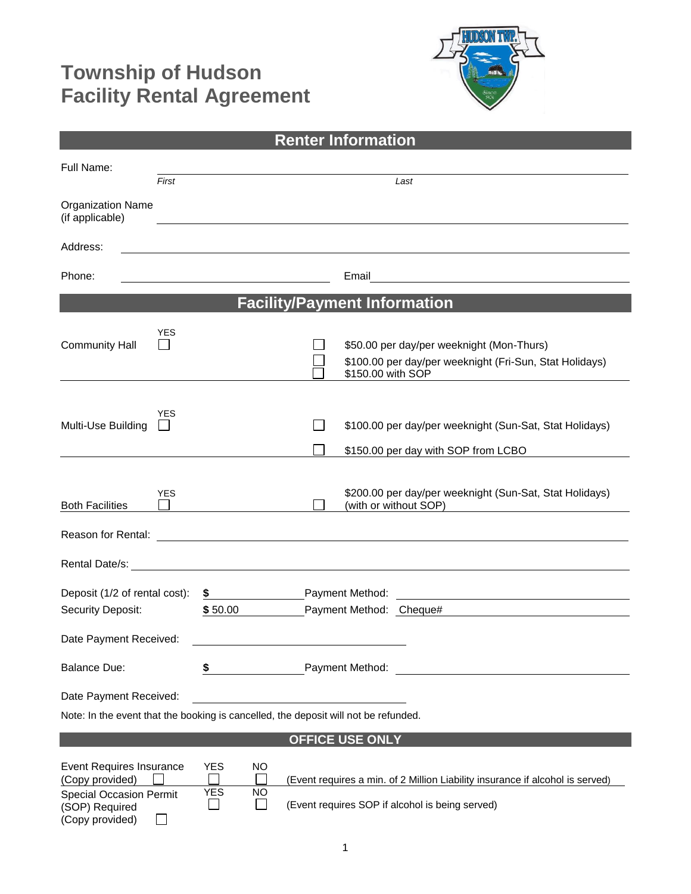## **Township of Hudson Facility Rental Agreement**



| <b>Renter Information</b>                                                                                                 |                                                                                                                                                                                                 |  |  |
|---------------------------------------------------------------------------------------------------------------------------|-------------------------------------------------------------------------------------------------------------------------------------------------------------------------------------------------|--|--|
| Full Name:<br>First                                                                                                       | Last                                                                                                                                                                                            |  |  |
| <b>Organization Name</b><br>(if applicable)                                                                               |                                                                                                                                                                                                 |  |  |
| Address:                                                                                                                  |                                                                                                                                                                                                 |  |  |
| Phone:                                                                                                                    |                                                                                                                                                                                                 |  |  |
| <b>Facility/Payment Information</b>                                                                                       |                                                                                                                                                                                                 |  |  |
| YES<br><b>Community Hall</b>                                                                                              | \$50.00 per day/per weeknight (Mon-Thurs)<br>\$100.00 per day/per weeknight (Fri-Sun, Stat Holidays)<br>\$150.00 with SOP                                                                       |  |  |
| <b>YES</b><br>Multi-Use Building                                                                                          | \$100.00 per day/per weeknight (Sun-Sat, Stat Holidays)<br>\$150.00 per day with SOP from LCBO                                                                                                  |  |  |
| <b>YES</b><br><b>Both Facilities</b><br>Reason for Rental:                                                                | \$200.00 per day/per weeknight (Sun-Sat, Stat Holidays)<br>(with or without SOP)                                                                                                                |  |  |
|                                                                                                                           | <u> 1980 - Johann Stoff, deutscher Stoffen und der Stoffen und der Stoffen und der Stoffen und der Stoffen und d</u>                                                                            |  |  |
| Deposit (1/2 of rental cost):<br>Security Deposit:<br>Date Payment Received:                                              | \$ Payment Method:<br><u> 1980 - John Stein, Amerikaansk kanton (</u><br>\$50.00<br>Payment Method: Cheque#                                                                                     |  |  |
| <b>Balance Due:</b>                                                                                                       | Payment Method:<br>\$                                                                                                                                                                           |  |  |
| Date Payment Received:                                                                                                    | Note: In the event that the booking is cancelled, the deposit will not be refunded.                                                                                                             |  |  |
|                                                                                                                           | <b>OFFICE USE ONLY</b>                                                                                                                                                                          |  |  |
| <b>Event Requires Insurance</b><br>(Copy provided)<br><b>Special Occasion Permit</b><br>(SOP) Required<br>(Copy provided) | <b>YES</b><br>NO<br>(Event requires a min. of 2 Million Liability insurance if alcohol is served)<br><b>YES</b><br><b>NO</b><br>(Event requires SOP if alcohol is being served)<br>$\mathbf{L}$ |  |  |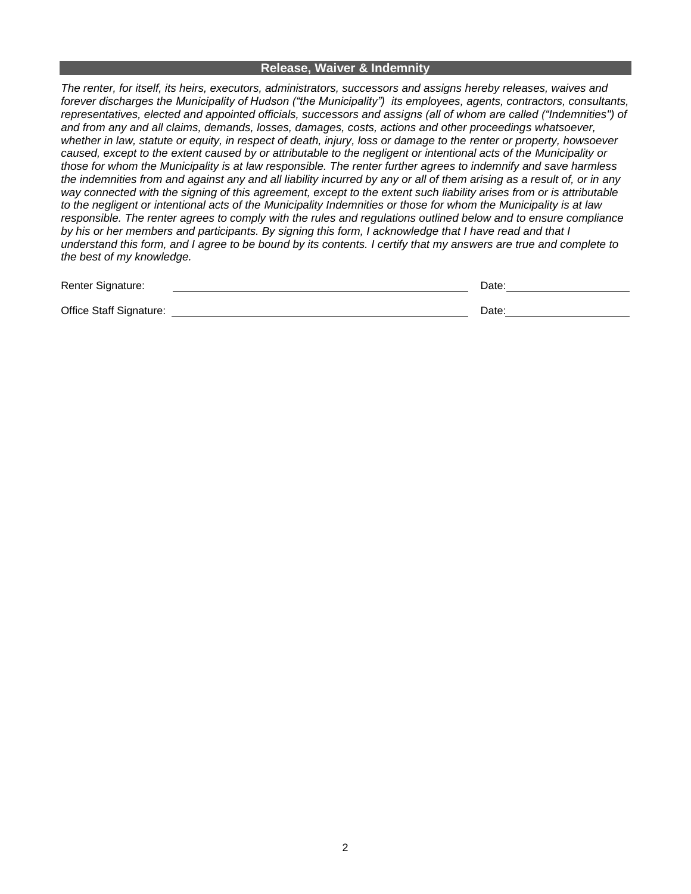## **Release, Waiver & Indemnity**

*The renter, for itself, its heirs, executors, administrators, successors and assigns hereby releases, waives and forever discharges the Municipality of Hudson ("the Municipality") its employees, agents, contractors, consultants, representatives, elected and appointed officials, successors and assigns (all of whom are called ("Indemnities") of and from any and all claims, demands, losses, damages, costs, actions and other proceedings whatsoever, whether in law, statute or equity, in respect of death, injury, loss or damage to the renter or property, howsoever caused, except to the extent caused by or attributable to the negligent or intentional acts of the Municipality or those for whom the Municipality is at law responsible. The renter further agrees to indemnify and save harmless the indemnities from and against any and all liability incurred by any or all of them arising as a result of, or in any way connected with the signing of this agreement, except to the extent such liability arises from or is attributable to the negligent or intentional acts of the Municipality Indemnities or those for whom the Municipality is at law responsible. The renter agrees to comply with the rules and regulations outlined below and to ensure compliance by his or her members and participants. By signing this form, I acknowledge that I have read and that I understand this form, and I agree to be bound by its contents. I certify that my answers are true and complete to the best of my knowledge.* 

| Renter Signature:       | Date. |
|-------------------------|-------|
|                         |       |
| Office Staff Signature: | Date: |